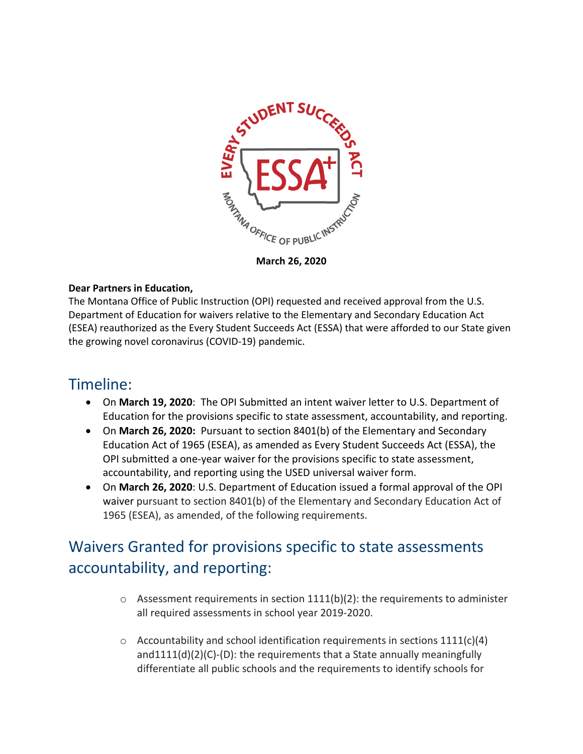

**March 26, 2020**

#### **Dear Partners in Education,**

The Montana Office of Public Instruction (OPI) requested and received approval from the U.S. Department of Education for waivers relative to the Elementary and Secondary Education Act (ESEA) reauthorized as the Every Student Succeeds Act (ESSA) that were afforded to our State given the growing novel coronavirus (COVID-19) pandemic.

### Timeline:

- On **March 19, 2020**: The OPI Submitted an intent waiver letter to U.S. Department of Education for the provisions specific to state assessment, accountability, and reporting.
- On **March 26, 2020:** Pursuant to section 8401(b) of the Elementary and Secondary Education Act of 1965 (ESEA), as amended as Every Student Succeeds Act (ESSA), the OPI submitted a one-year waiver for the provisions specific to state assessment, accountability, and reporting using the USED universal waiver form.
- On **March 26, 2020**: U.S. Department of Education issued a formal approval of the OPI waiver pursuant to section 8401(b) of the Elementary and Secondary Education Act of 1965 (ESEA), as amended, of the following requirements.

# Waivers Granted for provisions specific to state assessments accountability, and reporting:

- $\circ$  Assessment requirements in section 1111(b)(2): the requirements to administer all required assessments in school year 2019-2020.
- $\circ$  Accountability and school identification requirements in sections 1111(c)(4) and1111(d)(2)(C)-(D): the requirements that a State annually meaningfully differentiate all public schools and the requirements to identify schools for